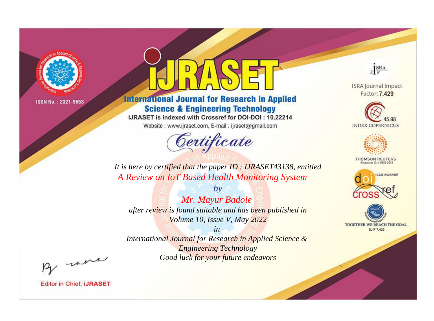

# **International Journal for Research in Applied Science & Engineering Technology**

IJRASET is indexed with Crossref for DOI-DOI: 10.22214

Website: www.ijraset.com, E-mail: ijraset@gmail.com



JERA

**ISRA Journal Impact** Factor: 7.429





**THOMSON REUTERS** 



TOGETHER WE REACH THE GOAL **SJIF 7.429** 

*It is here by certified that the paper ID : IJRASET43138, entitled A Review on IoT Based Health Monitoring System*

*by Mr. Mayur Badole after review is found suitable and has been published in Volume 10, Issue V, May 2022*

*in International Journal for Research in Applied Science &* 

*Engineering Technology Good luck for your future endeavors*

By morn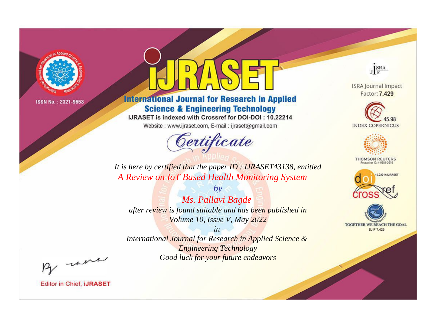

# **International Journal for Research in Applied Science & Engineering Technology**

IJRASET is indexed with Crossref for DOI-DOI: 10.22214

Website: www.ijraset.com, E-mail: ijraset@gmail.com



JERA

**ISRA Journal Impact** Factor: 7.429





**THOMSON REUTERS** 



TOGETHER WE REACH THE GOAL **SJIF 7.429** 

*It is here by certified that the paper ID : IJRASET43138, entitled A Review on IoT Based Health Monitoring System*

*Ms. Pallavi Bagde after review is found suitable and has been published in Volume 10, Issue V, May 2022*

*by*

*in* 

*International Journal for Research in Applied Science & Engineering Technology Good luck for your future endeavors*

By morn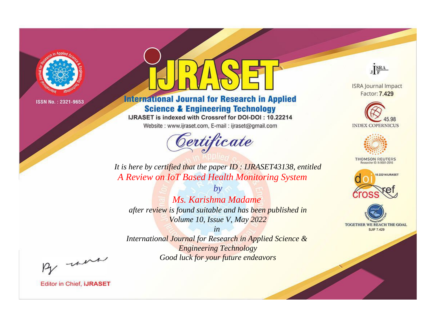

# **International Journal for Research in Applied Science & Engineering Technology**

IJRASET is indexed with Crossref for DOI-DOI: 10.22214

Website: www.ijraset.com, E-mail: ijraset@gmail.com



JERA

**ISRA Journal Impact** Factor: 7.429





**THOMSON REUTERS** 



TOGETHER WE REACH THE GOAL **SJIF 7.429** 

*It is here by certified that the paper ID : IJRASET43138, entitled A Review on IoT Based Health Monitoring System*

*by Ms. Karishma Madame after review is found suitable and has been published in Volume 10, Issue V, May 2022*

*in* 

*International Journal for Research in Applied Science & Engineering Technology Good luck for your future endeavors*

By morn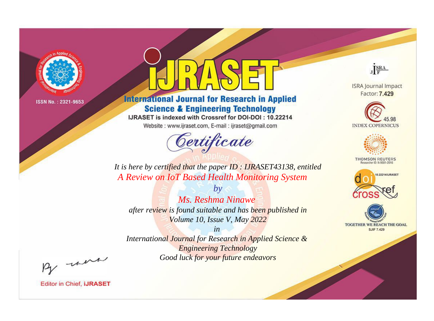

# **International Journal for Research in Applied Science & Engineering Technology**

IJRASET is indexed with Crossref for DOI-DOI: 10.22214

Website: www.ijraset.com, E-mail: ijraset@gmail.com



JERA

**ISRA Journal Impact** Factor: 7.429





**THOMSON REUTERS** 



TOGETHER WE REACH THE GOAL **SJIF 7.429** 

*It is here by certified that the paper ID : IJRASET43138, entitled A Review on IoT Based Health Monitoring System*

*by Ms. Reshma Ninawe after review is found suitable and has been published in Volume 10, Issue V, May 2022*

*in* 

*International Journal for Research in Applied Science & Engineering Technology Good luck for your future endeavors*

By morn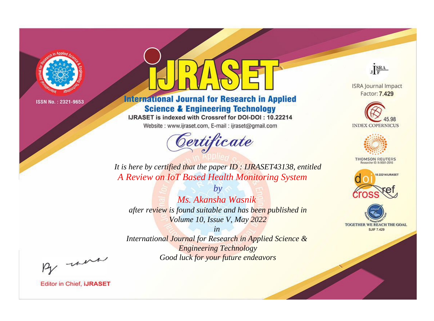

# **International Journal for Research in Applied Science & Engineering Technology**

IJRASET is indexed with Crossref for DOI-DOI: 10.22214

Website: www.ijraset.com, E-mail: ijraset@gmail.com



JERA

**ISRA Journal Impact** Factor: 7.429





**THOMSON REUTERS** 



TOGETHER WE REACH THE GOAL **SJIF 7.429** 

*It is here by certified that the paper ID : IJRASET43138, entitled A Review on IoT Based Health Monitoring System*

*Ms. Akansha Wasnik after review is found suitable and has been published in Volume 10, Issue V, May 2022*

*by*

*in* 

*International Journal for Research in Applied Science & Engineering Technology Good luck for your future endeavors*

By morn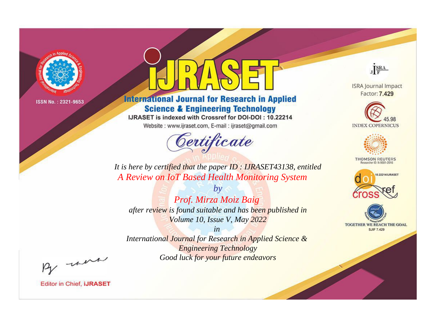

# **International Journal for Research in Applied Science & Engineering Technology**

IJRASET is indexed with Crossref for DOI-DOI: 10.22214

Website: www.ijraset.com, E-mail: ijraset@gmail.com



JERA

**ISRA Journal Impact** Factor: 7.429





**THOMSON REUTERS** 



TOGETHER WE REACH THE GOAL **SJIF 7.429** 

*It is here by certified that the paper ID : IJRASET43138, entitled A Review on IoT Based Health Monitoring System*

*by Prof. Mirza Moiz Baig after review is found suitable and has been published in Volume 10, Issue V, May 2022*

*in* 

*International Journal for Research in Applied Science & Engineering Technology Good luck for your future endeavors*

By morn